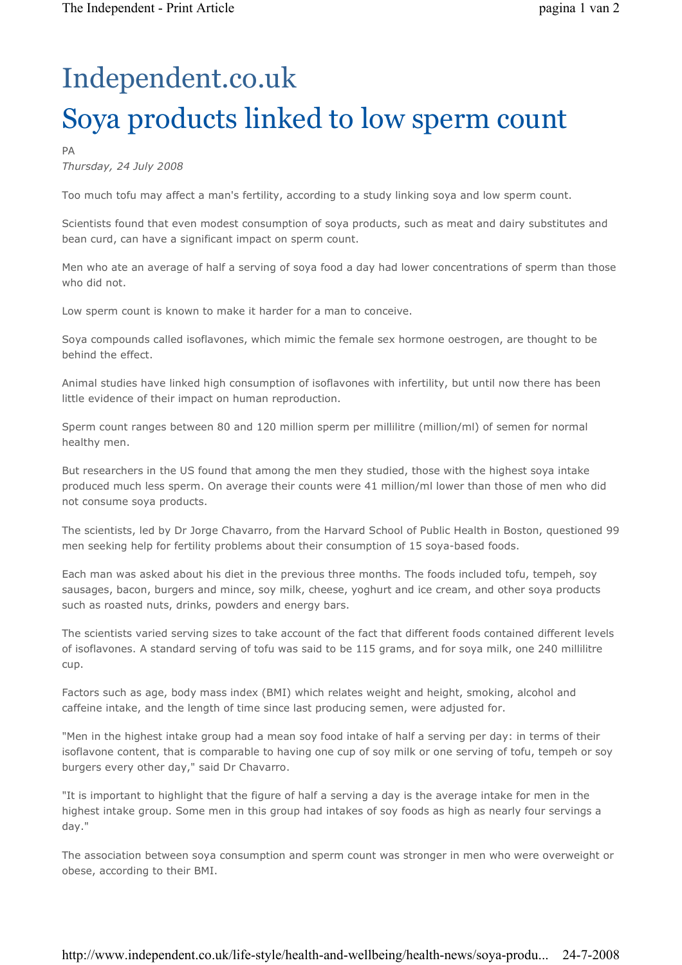## Independent.co.uk Soya products linked to low sperm count

## PA

Thursday, 24 July 2008

Too much tofu may affect a man's fertility, according to a study linking soya and low sperm count.

Scientists found that even modest consumption of soya products, such as meat and dairy substitutes and bean curd, can have a significant impact on sperm count.

Men who ate an average of half a serving of soya food a day had lower concentrations of sperm than those who did not.

Low sperm count is known to make it harder for a man to conceive.

Soya compounds called isoflavones, which mimic the female sex hormone oestrogen, are thought to be behind the effect.

Animal studies have linked high consumption of isoflavones with infertility, but until now there has been little evidence of their impact on human reproduction.

Sperm count ranges between 80 and 120 million sperm per millilitre (million/ml) of semen for normal healthy men.

But researchers in the US found that among the men they studied, those with the highest soya intake produced much less sperm. On average their counts were 41 million/ml lower than those of men who did not consume soya products.

The scientists, led by Dr Jorge Chavarro, from the Harvard School of Public Health in Boston, questioned 99 men seeking help for fertility problems about their consumption of 15 soya-based foods.

Each man was asked about his diet in the previous three months. The foods included tofu, tempeh, soy sausages, bacon, burgers and mince, soy milk, cheese, yoghurt and ice cream, and other soya products such as roasted nuts, drinks, powders and energy bars.

The scientists varied serving sizes to take account of the fact that different foods contained different levels of isoflavones. A standard serving of tofu was said to be 115 grams, and for soya milk, one 240 millilitre cup.

Factors such as age, body mass index (BMI) which relates weight and height, smoking, alcohol and caffeine intake, and the length of time since last producing semen, were adjusted for.

"Men in the highest intake group had a mean soy food intake of half a serving per day: in terms of their isoflavone content, that is comparable to having one cup of soy milk or one serving of tofu, tempeh or soy burgers every other day," said Dr Chavarro.

"It is important to highlight that the figure of half a serving a day is the average intake for men in the highest intake group. Some men in this group had intakes of soy foods as high as nearly four servings a day."

The association between soya consumption and sperm count was stronger in men who were overweight or obese, according to their BMI.